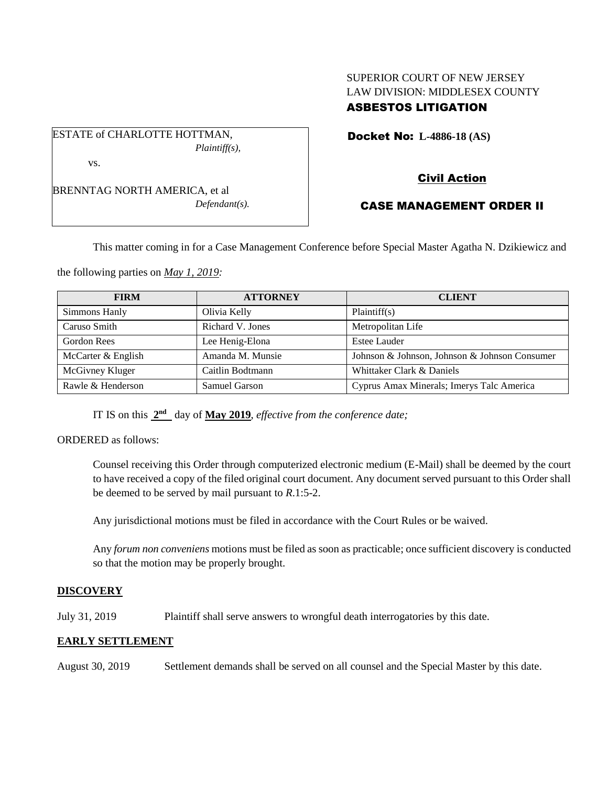# SUPERIOR COURT OF NEW JERSEY LAW DIVISION: MIDDLESEX COUNTY ASBESTOS LITIGATION

Docket No: **L-4886-18 (AS)** 

*Plaintiff(s),*

| BRENNTAG NORTH AMERICA, et al |
|-------------------------------|
| $Defendant(s)$ .              |

ESTATE of CHARLOTTE HOTTMAN,

vs.

# Civil Action

# CASE MANAGEMENT ORDER II

This matter coming in for a Case Management Conference before Special Master Agatha N. Dzikiewicz and

the following parties on *May 1, 2019:*

| <b>FIRM</b>        | <b>ATTORNEY</b>  | <b>CLIENT</b>                                 |
|--------------------|------------------|-----------------------------------------------|
| Simmons Hanly      | Olivia Kelly     | Plaintiff(s)                                  |
| Caruso Smith       | Richard V. Jones | Metropolitan Life                             |
| Gordon Rees        | Lee Henig-Elona  | Estee Lauder                                  |
| McCarter & English | Amanda M. Munsie | Johnson & Johnson, Johnson & Johnson Consumer |
| McGivney Kluger    | Caitlin Bodtmann | Whittaker Clark & Daniels                     |
| Rawle & Henderson  | Samuel Garson    | Cyprus Amax Minerals; Imerys Talc America     |

IT IS on this  $2<sup>nd</sup>$  day of **May 2019**, *effective from the conference date*;

ORDERED as follows:

Counsel receiving this Order through computerized electronic medium (E-Mail) shall be deemed by the court to have received a copy of the filed original court document. Any document served pursuant to this Order shall be deemed to be served by mail pursuant to *R*.1:5-2.

Any jurisdictional motions must be filed in accordance with the Court Rules or be waived.

Any *forum non conveniens* motions must be filed as soon as practicable; once sufficient discovery is conducted so that the motion may be properly brought.

## **DISCOVERY**

July 31, 2019 Plaintiff shall serve answers to wrongful death interrogatories by this date.

## **EARLY SETTLEMENT**

August 30, 2019 Settlement demands shall be served on all counsel and the Special Master by this date.